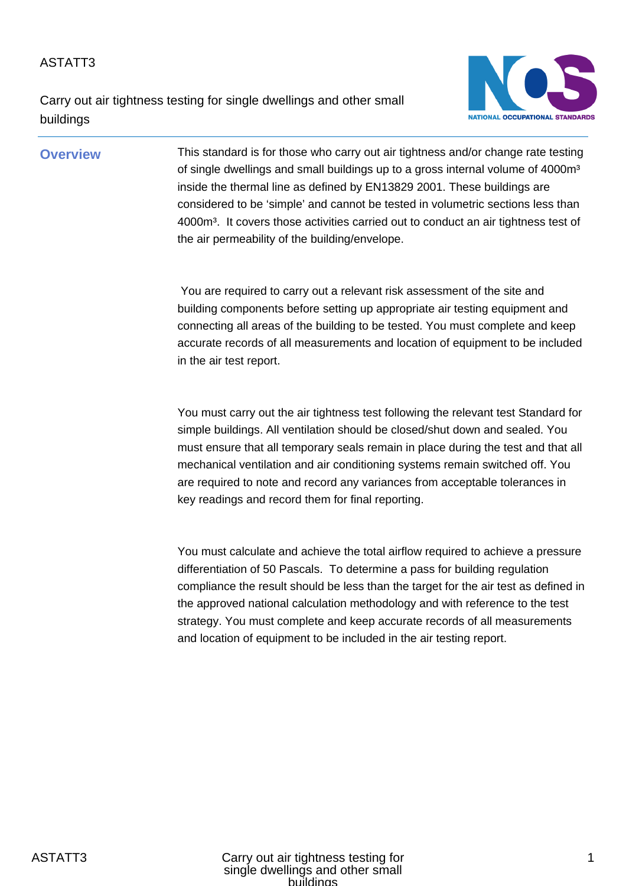Carry out air tightness testing for single dwellings and other small buildings



**Overview** This standard is for those who carry out air tightness and/or change rate testing of single dwellings and small buildings up to a gross internal volume of 4000m<sup>3</sup> inside the thermal line as defined by EN13829 2001. These buildings are considered to be 'simple' and cannot be tested in volumetric sections less than 4000m<sup>3</sup>. It covers those activities carried out to conduct an air tightness test of the air permeability of the building/envelope.

> You are required to carry out a relevant risk assessment of the site and building components before setting up appropriate air testing equipment and connecting all areas of the building to be tested. You must complete and keep accurate records of all measurements and location of equipment to be included in the air test report.

> You must carry out the air tightness test following the relevant test Standard for simple buildings. All ventilation should be closed/shut down and sealed. You must ensure that all temporary seals remain in place during the test and that all mechanical ventilation and air conditioning systems remain switched off. You are required to note and record any variances from acceptable tolerances in key readings and record them for final reporting.

> You must calculate and achieve the total airflow required to achieve a pressure differentiation of 50 Pascals. To determine a pass for building regulation compliance the result should be less than the target for the air test as defined in the approved national calculation methodology and with reference to the test strategy. You must complete and keep accurate records of all measurements and location of equipment to be included in the air testing report.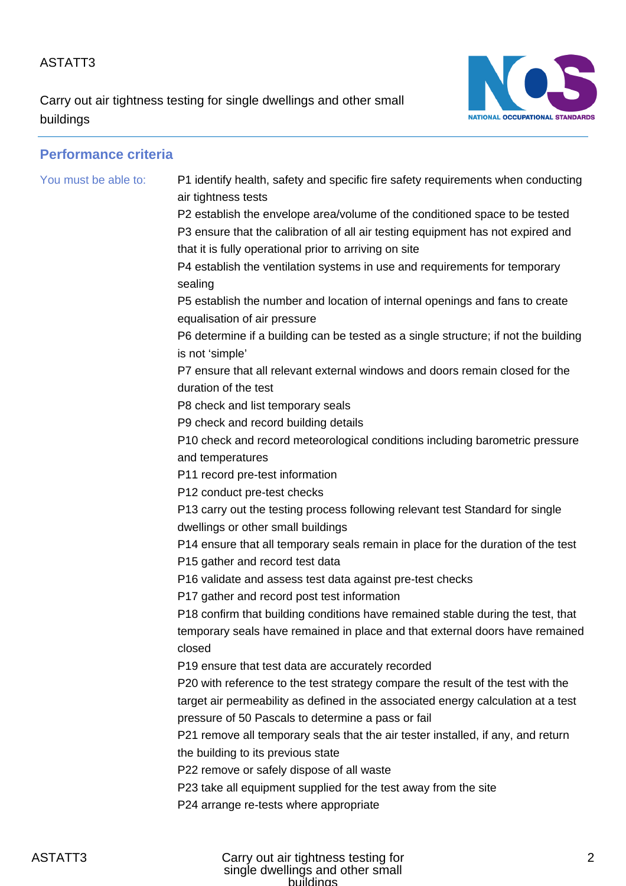Carry out air tightness testing for single dwellings and other small buildings



| <b>Performance criteria</b> |                                                                                                                                                                                                                          |
|-----------------------------|--------------------------------------------------------------------------------------------------------------------------------------------------------------------------------------------------------------------------|
| You must be able to:        | P1 identify health, safety and specific fire safety requirements when conducting<br>air tightness tests                                                                                                                  |
|                             | P2 establish the envelope area/volume of the conditioned space to be tested<br>P3 ensure that the calibration of all air testing equipment has not expired and<br>that it is fully operational prior to arriving on site |
|                             | P4 establish the ventilation systems in use and requirements for temporary<br>sealing                                                                                                                                    |
|                             | P5 establish the number and location of internal openings and fans to create<br>equalisation of air pressure                                                                                                             |
|                             | P6 determine if a building can be tested as a single structure; if not the building<br>is not 'simple'                                                                                                                   |
|                             | P7 ensure that all relevant external windows and doors remain closed for the<br>duration of the test                                                                                                                     |
|                             | P8 check and list temporary seals                                                                                                                                                                                        |
|                             | P9 check and record building details                                                                                                                                                                                     |
|                             | P10 check and record meteorological conditions including barometric pressure<br>and temperatures                                                                                                                         |
|                             | P11 record pre-test information                                                                                                                                                                                          |
|                             | P12 conduct pre-test checks                                                                                                                                                                                              |
|                             | P13 carry out the testing process following relevant test Standard for single<br>dwellings or other small buildings                                                                                                      |
|                             | P14 ensure that all temporary seals remain in place for the duration of the test<br>P15 gather and record test data                                                                                                      |
|                             | P16 validate and assess test data against pre-test checks                                                                                                                                                                |
|                             | P17 gather and record post test information                                                                                                                                                                              |
|                             | P18 confirm that building conditions have remained stable during the test, that                                                                                                                                          |
|                             | temporary seals have remained in place and that external doors have remained<br>closed                                                                                                                                   |
|                             | P19 ensure that test data are accurately recorded                                                                                                                                                                        |
|                             | P20 with reference to the test strategy compare the result of the test with the                                                                                                                                          |
|                             | target air permeability as defined in the associated energy calculation at a test                                                                                                                                        |
|                             | pressure of 50 Pascals to determine a pass or fail                                                                                                                                                                       |
|                             | P21 remove all temporary seals that the air tester installed, if any, and return                                                                                                                                         |
|                             | the building to its previous state                                                                                                                                                                                       |
|                             | P22 remove or safely dispose of all waste                                                                                                                                                                                |
|                             | P23 take all equipment supplied for the test away from the site                                                                                                                                                          |
|                             | P24 arrange re-tests where appropriate                                                                                                                                                                                   |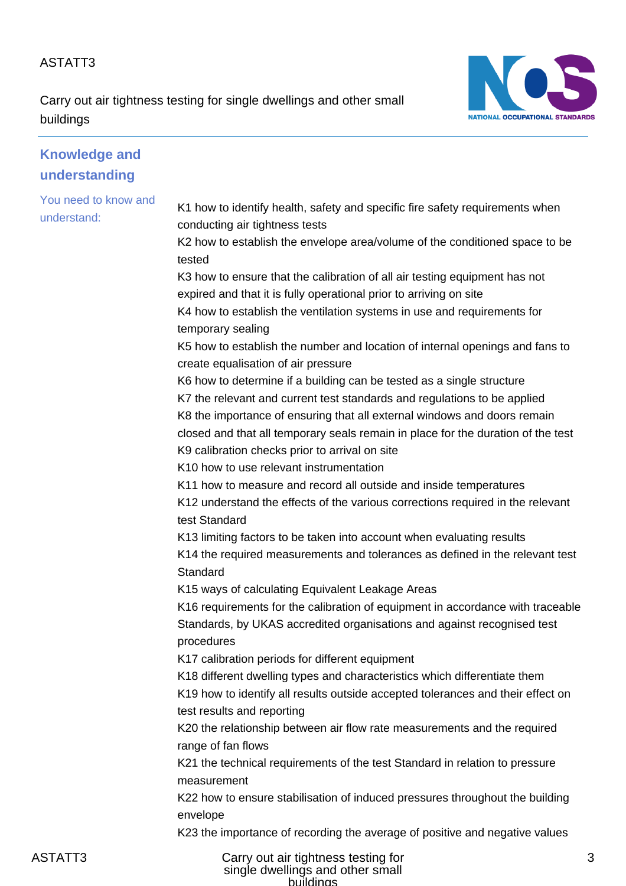Carry out air tightness testing for single dwellings and other small buildings



| <b>Knowledge and</b>                |                                                                                                                                                                                               |
|-------------------------------------|-----------------------------------------------------------------------------------------------------------------------------------------------------------------------------------------------|
| understanding                       |                                                                                                                                                                                               |
| You need to know and<br>understand: | K1 how to identify health, safety and specific fire safety requirements when<br>conducting air tightness tests<br>K2 how to establish the envelope area/volume of the conditioned space to be |
|                                     | tested                                                                                                                                                                                        |
|                                     | K3 how to ensure that the calibration of all air testing equipment has not                                                                                                                    |
|                                     | expired and that it is fully operational prior to arriving on site                                                                                                                            |
|                                     | K4 how to establish the ventilation systems in use and requirements for<br>temporary sealing                                                                                                  |
|                                     | K5 how to establish the number and location of internal openings and fans to<br>create equalisation of air pressure                                                                           |
|                                     | K6 how to determine if a building can be tested as a single structure                                                                                                                         |
|                                     | K7 the relevant and current test standards and regulations to be applied                                                                                                                      |
|                                     | K8 the importance of ensuring that all external windows and doors remain                                                                                                                      |
|                                     | closed and that all temporary seals remain in place for the duration of the test                                                                                                              |
|                                     | K9 calibration checks prior to arrival on site                                                                                                                                                |
|                                     | K10 how to use relevant instrumentation                                                                                                                                                       |
|                                     | K11 how to measure and record all outside and inside temperatures                                                                                                                             |
|                                     | K12 understand the effects of the various corrections required in the relevant<br>test Standard                                                                                               |
|                                     | K13 limiting factors to be taken into account when evaluating results                                                                                                                         |
|                                     | K14 the required measurements and tolerances as defined in the relevant test<br>Standard                                                                                                      |
|                                     | K15 ways of calculating Equivalent Leakage Areas                                                                                                                                              |
|                                     | K16 requirements for the calibration of equipment in accordance with traceable<br>Standards, by UKAS accredited organisations and against recognised test<br>procedures                       |
|                                     | K17 calibration periods for different equipment                                                                                                                                               |
|                                     | K18 different dwelling types and characteristics which differentiate them                                                                                                                     |
|                                     | K19 how to identify all results outside accepted tolerances and their effect on<br>test results and reporting                                                                                 |
|                                     | K20 the relationship between air flow rate measurements and the required<br>range of fan flows                                                                                                |
|                                     | K21 the technical requirements of the test Standard in relation to pressure<br>measurement                                                                                                    |
|                                     | K22 how to ensure stabilisation of induced pressures throughout the building<br>envelope                                                                                                      |
|                                     | K23 the importance of recording the average of positive and negative values                                                                                                                   |
|                                     |                                                                                                                                                                                               |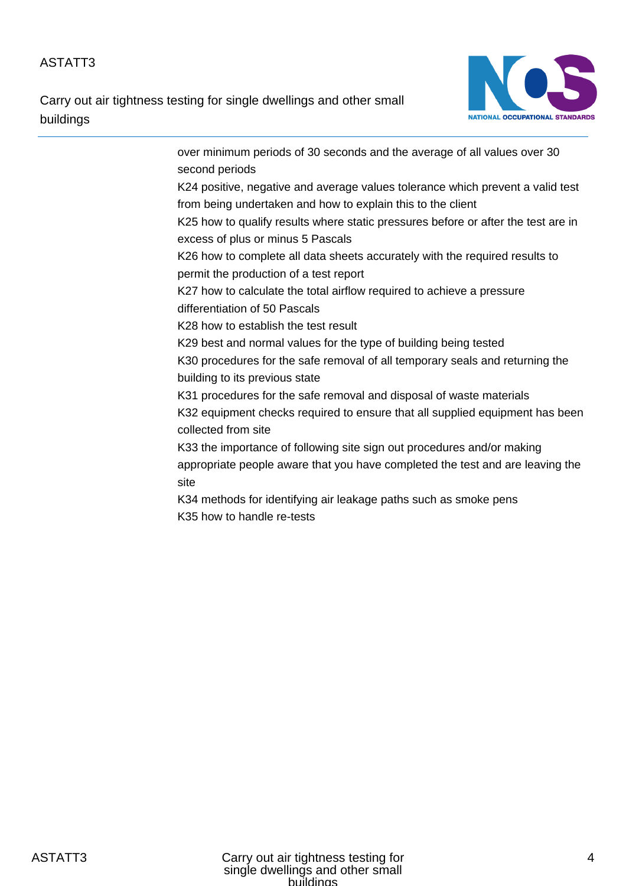Carry out air tightness testing for single dwellings and other small buildings



over minimum periods of 30 seconds and the average of all values over 30 second periods K24 positive, negative and average values tolerance which prevent a valid test from being undertaken and how to explain this to the client K25 how to qualify results where static pressures before or after the test are in excess of plus or minus 5 Pascals K26 how to complete all data sheets accurately with the required results to permit the production of a test report K27 how to calculate the total airflow required to achieve a pressure differentiation of 50 Pascals K28 how to establish the test result K29 best and normal values for the type of building being tested K30 procedures for the safe removal of all temporary seals and returning the building to its previous state K31 procedures for the safe removal and disposal of waste materials K32 equipment checks required to ensure that all supplied equipment has been collected from site K33 the importance of following site sign out procedures and/or making appropriate people aware that you have completed the test and are leaving the site K34 methods for identifying air leakage paths such as smoke pens K35 how to handle re-tests